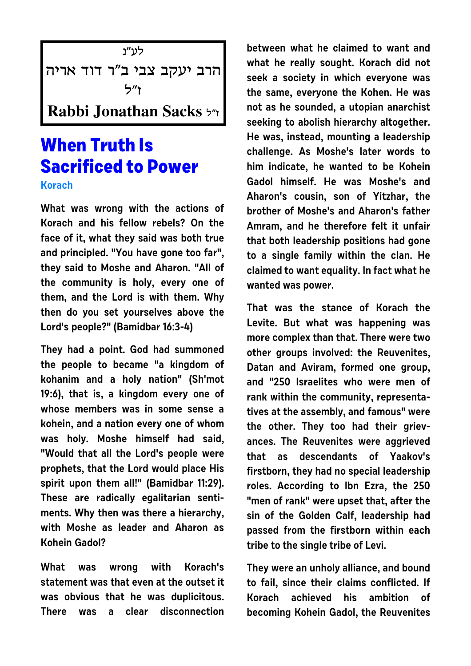| לע״נ                           |
|--------------------------------|
| הרב יעקב צבי ב"ר דוד אריה]     |
| ז"ל                            |
| <b>Rabbi Jonathan Sacks</b> 5" |

## **When Truth Is Sacrificed to Power**

**Korach**

**What was wrong with the actions of Korach and his fellow rebels? On the face of it, what they said was both true and principled. "You have gone too far", they said to Moshe and Aharon. "All of the community is holy, every one of them, and the Lord is with them. Why then do you set yourselves above the Lord's people?" (Bamidbar 16:3-4)**

**They had a point. God had summoned the people to became "a kingdom of kohanim and a holy nation" (Sh'mot 19:6), that is, a kingdom every one of whose members was in some sense a kohein, and a nation every one of whom was holy. Moshe himself had said, "Would that all the Lord's people were prophets, that the Lord would place His spirit upon them all!" (Bamidbar 11:29). These are radically egalitarian sentiments. Why then was there a hierarchy, with Moshe as leader and Aharon as Kohein Gadol?**

**What was wrong with Korach's statement was that even at the outset it was obvious that he was duplicitous. There was a clear disconnection** **between what he claimed to want and what he really sought. Korach did not seek a society in which everyone was the same, everyone the Kohen. He was not as he sounded, a utopian anarchist seeking to abolish hierarchy altogether. He was, instead, mounting a leadership challenge. As Moshe's later words to him indicate, he wanted to be Kohein Gadol himself. He was Moshe's and Aharon's cousin, son of Yitzhar, the brother of Moshe's and Aharon's father Amram, and he therefore felt it unfair that both leadership positions had gone to a single family within the clan. He claimed to want equality. In fact what he wanted was power.**

**That was the stance of Korach the Levite. But what was happening was more complex than that. There were two other groups involved: the Reuvenites, Datan and Aviram, formed one group, and "250 Israelites who were men of rank within the community, representatives at the assembly, and famous" were the other. They too had their grievances. The Reuvenites were aggrieved that as descendants of Yaakov's firstborn, they had no special leadership roles. According to Ibn Ezra, the 250 "men of rank" were upset that, after the sin of the Golden Calf, leadership had passed from the firstborn within each tribe to the single tribe of Levi.**

**They were an unholy alliance, and bound to fail, since their claims conflicted. If Korach achieved his ambition of becoming Kohein Gadol, the Reuvenites**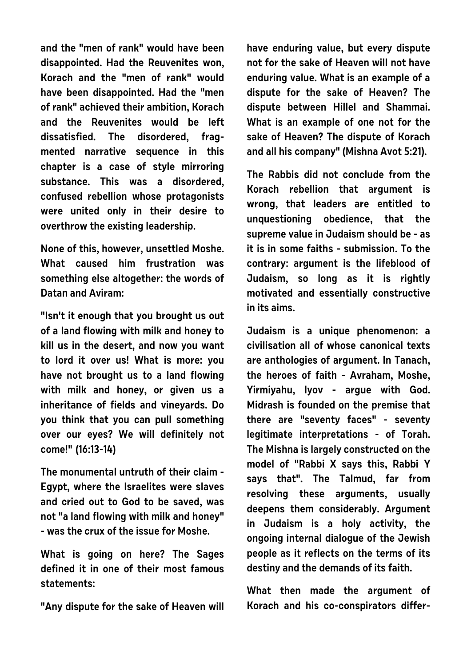**and the "men of rank" would have been disappointed. Had the Reuvenites won, Korach and the "men of rank" would have been disappointed. Had the "men of rank" achieved their ambition, Korach and the Reuvenites would be left dissatisfied. The disordered, fragmented narrative sequence in this chapter is a case of style mirroring substance. This was a disordered, confused rebellion whose protagonists were united only in their desire to overthrow the existing leadership.**

**None of this, however, unsettled Moshe. What caused him frustration was something else altogether: the words of Datan and Aviram:** 

**"Isn't it enough that you brought us out of a land flowing with milk and honey to kill us in the desert, and now you want to lord it over us! What is more: you have not brought us to a land flowing with milk and honey, or given us a inheritance of fields and vineyards. Do you think that you can pull something over our eyes? We will definitely not come!" (16:13-14)**

**The monumental untruth of their claim - Egypt, where the Israelites were slaves and cried out to God to be saved, was not "a land flowing with milk and honey" - was the crux of the issue for Moshe.**

**What is going on here? The Sages defined it in one of their most famous statements:**

**"Any dispute for the sake of Heaven will**

**have enduring value, but every dispute not for the sake of Heaven will not have enduring value. What is an example of a dispute for the sake of Heaven? The dispute between Hillel and Shammai. What is an example of one not for the sake of Heaven? The dispute of Korach and all his company" (Mishna Avot 5:21).**

**The Rabbis did not conclude from the Korach rebellion that argument is wrong, that leaders are entitled to unquestioning obedience, that the supreme value in Judaism should be - as it is in some faiths - submission. To the contrary: argument is the lifeblood of Judaism, so long as it is rightly motivated and essentially constructive in its aims.**

**Judaism is a unique phenomenon: a civilisation all of whose canonical texts are anthologies of argument. In Tanach, the heroes of faith - Avraham, Moshe, Yirmiyahu, Iyov - argue with God. Midrash is founded on the premise that there are "seventy faces" - seventy legitimate interpretations - of Torah. The Mishna is largely constructed on the model of "Rabbi X says this, Rabbi Y says that". The Talmud, far from resolving these arguments, usually deepens them considerably. Argument in Judaism is a holy activity, the ongoing internal dialogue of the Jewish people as it reflects on the terms of its destiny and the demands of its faith.**

**What then made the argument of Korach and his co-conspirators differ-**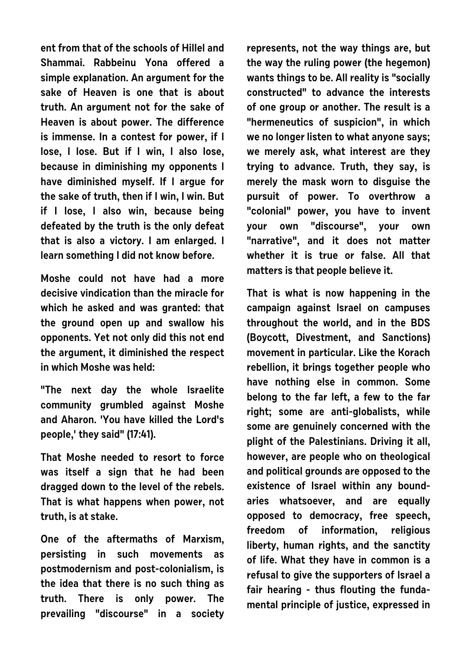**ent from that of the schools of Hillel and Shammai. Rabbeinu Yona offered a simple explanation. An argument for the sake of Heaven is one that is about truth. An argument not for the sake of Heaven is about power. The difference is immense. In a contest for power, if I lose, I lose. But if I win, I also lose, because in diminishing my opponents I have diminished myself. If I argue for the sake of truth, then if I win, I win. But if I lose, I also win, because being defeated by the truth is the only defeat that is also a victory. I am enlarged. I learn something I did not know before.**

**Moshe could not have had a more decisive vindication than the miracle for which he asked and was granted: that the ground open up and swallow his opponents. Yet not only did this not end the argument, it diminished the respect in which Moshe was held:** 

**"The next day the whole Israelite community grumbled against Moshe and Aharon. 'You have killed the Lord's people,' they said" (17:41).** 

**That Moshe needed to resort to force was itself a sign that he had been dragged down to the level of the rebels. That is what happens when power, not truth, is at stake.**

**One of the aftermaths of Marxism, persisting in such movements as postmodernism and post-colonialism, is the idea that there is no such thing as truth. There is only power. The prevailing "discourse" in a society** **represents, not the way things are, but the way the ruling power (the hegemon) wants things to be. All reality is "socially constructed" to advance the interests of one group or another. The result is a "hermeneutics of suspicion", in which we no longer listen to what anyone says; we merely ask, what interest are they trying to advance. Truth, they say, is merely the mask worn to disguise the pursuit of power. To overthrow a "colonial" power, you have to invent your own "discourse", your own "narrative", and it does not matter whether it is true or false. All that matters is that people believe it.**

**That is what is now happening in the campaign against Israel on campuses throughout the world, and in the BDS (Boycott, Divestment, and Sanctions) movement in particular. Like the Korach rebellion, it brings together people who have nothing else in common. Some belong to the far left, a few to the far right; some are anti-globalists, while some are genuinely concerned with the plight of the Palestinians. Driving it all, however, are people who on theological and political grounds are opposed to the existence of Israel within any boundaries whatsoever, and are equally opposed to democracy, free speech, freedom of information, religious liberty, human rights, and the sanctity of life. What they have in common is a refusal to give the supporters of Israel a fair hearing - thus flouting the fundamental principle of justice, expressed in**